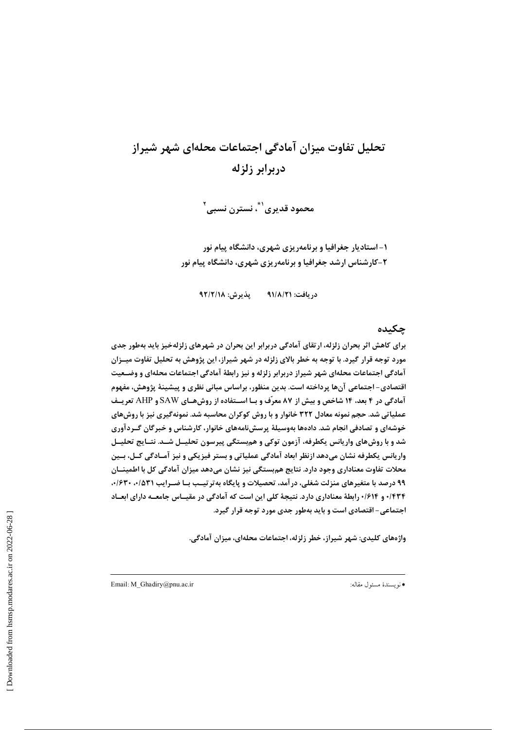## تحلیل تفاوت میزان آمادگی اجتماعات محلهای شهر شیراز دربرابر زلزله

محمود قديري``، نسترن نسبي`

۱– استادیار جغرافیا و برنامهریزی شهری، دانشگاه پیام نور ۲-کارشناس ارشد جغرافیا و برنامهریزی شهری، دانشگاه پیام نور

يذيرش: ٩٢/٢/١٨ در بافت: ۹۱/۸/۲۱

#### چکىدە

برای کاهش اثر بحران زلزله، ارتقای آمادگی دربرابر این بحران در شهرهای زلزلهخیز باید بهطور جدی مورد توجه قرار گیرد. با توجه به خطر بالای زلزله در شهر شیراز، این پژوهش به تحلیل تفاوت میــزان آمادگی اجتماعات محلهای شهر شیراز دربرابر زلزله و نیز رابطهٔ آمادگی اجتماعات محلهای و وضـعیت اقتصادی- اجتماعی آنها پرداخته است. بدین منظور، براساس مبانی نظری و پیشینهٔ پژوهش، مفهوم آمادگی در ۴ بعد، ۱۴ شاخص و بیش از ۸۷ معرّف و بـا اسـتفاده از روشهـای SAW و AHP تعریـف عملیاتی شد. حجم نمونه معادل ۳۲۲ خانوار و با روش کوکران محاسبه شد. نمونهگیری نیز با روشهای خوشهای و تصادفی انجام شد. دادهها بهوسیلهٔ پرسشنامههای خانوار، کارشناس و خبرگان گـردآوری شد و با روش های واریانس یکطرفه، آزمون توکی و هم بستگی پیرسون تحلیــل شــد. نتــایج تحلیــل واریانس یکطرفه نشان میدهد ازنظر ابعاد آمادگی عملیاتی و بستر فیزیکی و نیز آمـادگی کــل، بــین محلات تفاوت معناداری وجود دارد. نتایج هم بستگی نیز نشان میدهد میزان آمادگی کل با اطمینــان ۹۹ درصد با متغیرهای منزلت شغلی، درآمد، تحصیلات و پایگاه به ترتیـب بـا ضـرایب ۰/۵۳۱، ۰/۶۳۰، ۰/۴۳۴ و ۰/۶۱۴ رابطهٔ معناداری دارد. نتیجهٔ کلی این است که آمادگی در مقیـاس جامعـه دارای ابعـاد اجتماعی- اقتصادی است و باید بهطور جدی مورد توجه قرار گیرد.

واژەهای کلیدی: شهر شیراز، خطر زلزله، اجتماعات محلهای، میزان آمادگی.

Email: M\_Ghadiry@pnu.ac.ir

\*نويسندة مسئول مقاله: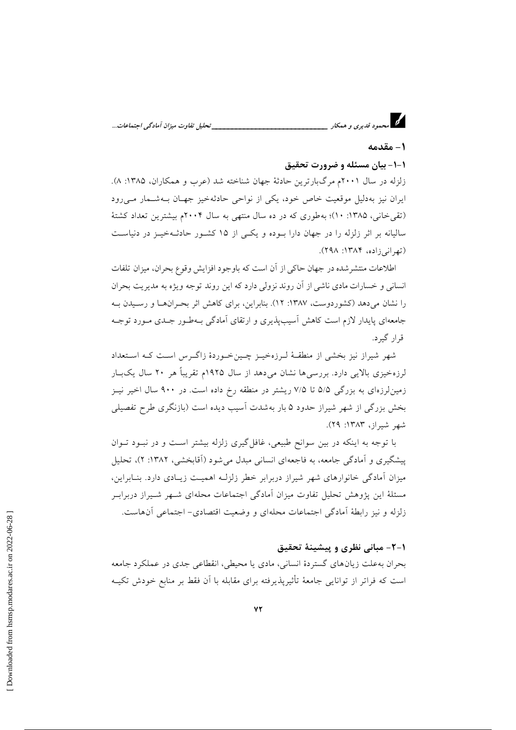### 1 – مقدمه

#### ۱-۱- بیان مسئله و ضرورت تحقیق

زلزله در سال ۲۰۰۱م مرگبارترین حادثهٔ جهان شناخته شد (عرب و همکاران، ۱۳۸۵: ۸). ایران نیز بهدلیل موقعیت خاص خود، یکی از نواحی حادثهخیز جهان بـهشـمار مـیرود (تقى خانى، ١٣٨۵: ١٠)؛ به طورى كه در ده سال منتهى به سال ٢٠٠۴م بيشترين تعداد كشتهٔ سالیانه بر اثر زلزله را در جهان دارا بوده و یکی از ۱۵ کشور حادثهخیـز در دنیاسـت (تهرانی زاده، ۱۳۸۴: ۲۹۸).

اطلاعات منتشر شده در جهان حاکی از آن است که باوجود افزایش وقوع بحران، میزان تلفات انسانی و خسارات مادی ناشی از آن روند نزولی دارد که این روند توجه ویژه به مدیریت بحران را نشان می دهد (کشور دوست، ۱۳۸۷: ۱۲). بنابراین، برای کاهش اثر بحران ها و رسیدن ب جامعهای پایدار لازم است کاهش آسیبپذیری و ارتقای آمادگی بـهطـور جـدی مـورد توجـه قرار گیرد.

شهر شیراز نیز بخشی از منطقـهٔ لـرزهخیــز چــینخـوردهٔ زاگــرس اسـت کـه اسـتعداد لرزهخیزی بالایی دارد. بررسیها نشان میدهد از سال ۱۹۲۵م تقریباً هر ۲۰ سال یکبــار زمینلرزهای به بزرگی ۵/۵ تا ۷/۵ ریشتر در منطقه رخ داده است. در ۹۰۰ سال اخیر نیـز بخش بزرگی از شهر شیراز حدود ۵ بار بهشدت آسیب دیده است (بازنگری طرح تفصیلی شهر شيراز، ١٣٨٣: ٢٩).

با توجه به اینکه در بین سوانح طبیعی، غافل گیری زلزله بیشتر است و در نبـود تـوان پیشگیری و آمادگی جامعه، به فاجعهای انسانی مبدل می شود (آقابخشی، ۱۳۸۲: ۲)، تحلیل میزان آمادگی خانوارهای شهر شیراز دربرابر خطر زلزلـه اهمیـت زیـادی دارد. بنـابراین، مسئلهٔ این پژوهش تحلیل تفاوت میزان آمادگی اجتماعات محلهای شـهر شـیراز دربرابـر زلزله و نیز رابطهٔ آمادگی اجتماعات محلهای و وضعیت اقتصادی- اجتماعی آن۱ست.

#### ١-٢- مباني نظري و پيشينۀ تحقيق

بحران به علت زیان های گستردهٔ انسانی، مادی یا محیطی، انقطاعی جدی در عملکرد جامعه است که فراتر از توانایی جامعهٔ تأثیرپذیرفته برای مقابله با آن فقط بر منابع خودش تکیــه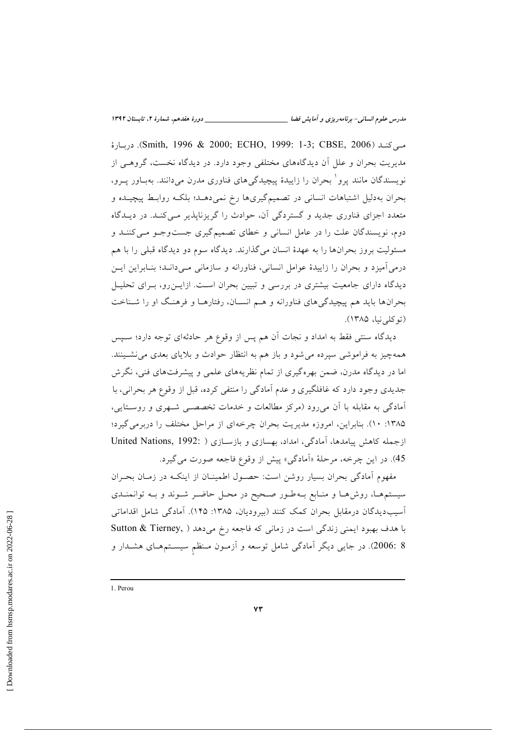مة (Smith, 1996 & 2000; ECHO, 1999: 1-3; CBSE, 2006). دربارة مدیریت بحران و علل آن دیدگاههای مختلفی وجود دارد. در دیدگاه نخست، گروهـی از نویسندگان مانند پرو` بحران را زاییدهٔ پیچیدگیهای فناوری مدرن میدانند. بهبـاور پــرو، بحران بهدلیل اشتباهات انسانی در تصمیمگیریها رخ نمیدهـد؛ بلکـه روابـط پیچیـده و متعدد اجزای فناوری جدید و گستردگی آن، حوادث را گریزناپذیر مبی کنـد. در دیــدگاه دوم، نویسندگان علت را در عامل انسانی و خطای تصمیم گیری جستوجو می کننـد و مسئولیت بروز بحرانها را به عهدهٔ انسان میگذارند. دیدگاه سوم دو دیدگاه قبلی را با هم درمی آمیزد و بحران را زاییدهٔ عوامل انسانی، فناورانه و سازمانی مـی۱دانـد؛ بنـابراین ایـن دیدگاه دارای جامعیت بیشتری در بررسی و تبیین بحران است. ازایـنرو، بـرای تحلیـل بحرانها باید هم پیچیدگیهای فناورانه و هـم انسـان، رفتارهـا و فرهنـگ او را شـناخت (تو کلی نیا، ۱۳۸۵).

دیدگاه سنتی فقط به امداد و نجات آن هم پس از وقوع هر حادثهای توجه دارد؛ سـیس همهچیز به فراموشی سپرده می شود و باز هم به انتظار حوادث و بلایای بعدی می نشـینند. اما در دیدگاه مدرن، ضمن بهرهگیری از تمام نظریههای علمی و پیشرفتهای فنی، نگرش جدیدی وجود دارد که غافلگیری و عدم آمادگی را منتفی کرده، قبل از وقوع هر بحرانی، با آمادگی به مقابله با آن میرود (مرکز مطالعات و خدمات تخصصــی شــهری و روسـتایی، ۱۳۸۵: ۱۰). بنابراین، امروزه مدیریت بحران چرخهای از مراحل مختلف را دربرمی گیرد؛ ازجمله كاهش پیامدها، آمادگی، امداد، بهسازی و بازسـازی ( :United Nations, 1992 45). در این چرخه، مرحلهٔ «اَمادگی» پیش از وقوع فاجعه صورت میگیرد.

مفهوم أمادگی بحران بسیار روشن است: حصـول اطمینــان از اینکــه در زمــان بحــران سیستمها، روشها و منابع به طور صحیح در محل حاضر شوند و بـه توانمنـدی آسیب دیدگان درمقابل بحران کمک کنند (بیرودیان، ۱۳۸۵: ۱۴۵). آمادگی شامل اقداماتی با هدف بهبود ایمنی زندگی است در زمانی که فاجعه رخ میدهد ( Sutton & Tierney, 8 :2006). در جایی دیگر آمادگی شامل توسعه و آزمـون مـنظم سیسـتمهـای هشـدار و

<sup>1.</sup> Perou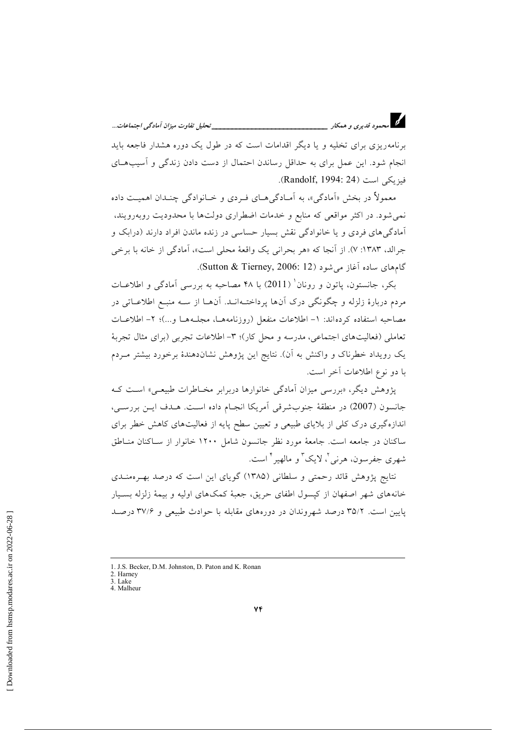\_\_\_\_\_\_\_ تحليل تفاوت ميزان آمادگي اجتماعات...

برنامهریزی برای تخلیه و یا دیگر اقدامات است که در طول یک دوره هشدار فاجعه باید انجام شود. این عمل برای به حداقل رساندن احتمال از دست دادن زندگی و آسیبهای فيزيكي است (Randolf, 1994: 24).

د.<br>در استمود قدیری و همکار <u>است. مست است است ا</u>

معمولاً در بخش «اَمادگی»، به اَمـادگیِهـای فـردی و خـانوادگی چنـدان اهمیـت داده نمی شود. در اکثر مواقعی که منابع و خدمات اضطراری دولتها با محدودیت روبهرویند، آمادگی های فردی و یا خانوادگی نقش بسیار حساسی در زنده ماندن افراد دارند (درایک و جرالد، ۱۳۸۳: ۷). از آنجا که «هر بحرانی یک واقعهٔ محلی است»، آمادگی از خانه با برخی گامهای ساده آغاز می شود (Sutton & Tierney, 2006: 12).

بکر، جانستون، پاتون و رونان ْ (2011) با ۴۸ مصاحبه به بررسی آمادگی و اطلاعـات مردم دربارهٔ زلزله و چگونگی درک آنها پرداختـهانـد. آنهــا از ســه منبــع اطلاعــاتی در مصاحبه استفاده کردهاند: ١- اطلاعات منفعل (روزنامههـا، مجلّـههـا و…)؛ ٢- اطلاعـات تعاملي (فعالیتهای اجتماعی، مدرسه و محل کار)؛ ۳- اطلاعات تجربی (برای مثال تجربهٔ یک رویداد خطرناک و واکنش به آن). نتایج این پژوهش نشاندهندهٔ برخورد بیشتر مـردم با دو نوع اطلاعات آخر است.

پژوهش دیگر، «بررسی میزان آمادگی خانوارها دربرابر مخـاطرات طبیعـی» اسـت کـه جانسون (2007) در منطقهٔ جنوبشرقی آمریکا انجـام داده اسـت. هـدف ایـن بررسـی، اندازهگیری درک کلی از بلایای طبیعی و تعیین سطح پایه از فعالیتهای کاهش خطر برای ساكنان در جامعه است. جامعهٔ مورد نظر جانسون شامل ۱۲۰۰ خانوار از سـاكنان منـاطق شهري جفرسون، هرنبي '، لايک ؓ و مالهير ٗ است.

نتایج پژوهش قائد رحمتی و سلطانی (۱۳۸۵) گویای این است که درصد بهـر ممنـدی خانههای شهر اصفهان از کیسول اطفای حریق، جعبهٔ کمکهای اولیه و بیمهٔ زلزله بسـیار یایین است. ۳۵/۲ درصد شهروندان در دورههای مقابله با حوادث طبیعی و ۳۷/۶ درصد

<sup>1.</sup> J.S. Becker, D.M. Johnston, D. Paton and K. Ronan

<sup>2.</sup> Harney 3. Lake

<sup>4.</sup> Malheur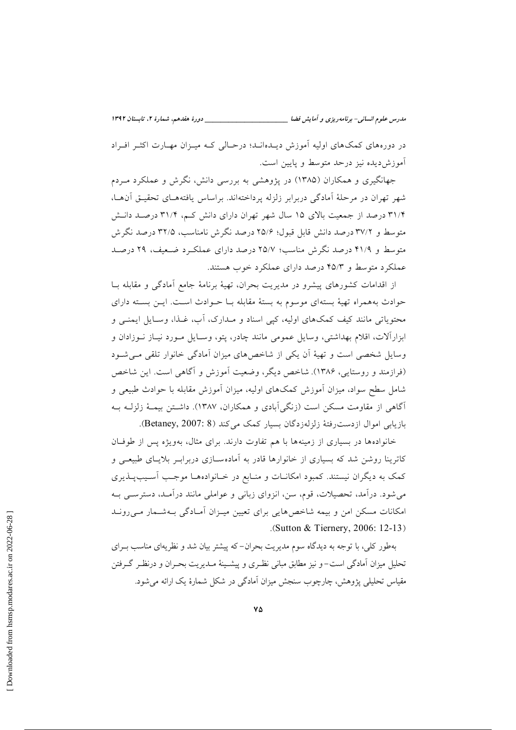مدرس علوم انسانی- برنامه ریزی و آمایش فضا

در دورههای کمکهای اولیه آموزش دیـدهانـد؛ درحـالی کـه میـزان مهـارت اکثـر افـراد آموزش ديده نيز درحد متوسط و پايين است.

جهانگیری و همکاران (۱۳۸۵) در پژوهشی به بررسی دانش، نگرش و عملکرد مـردم شهر تهران در مرحلهٔ آمادگی دربرابر زلزله پرداختهاند. براساس یافتههـای تحقیـق آنهـا، ۳۱/۴ درصد از جمعیت بالای ۱۵ سال شهر تهران دارای دانش کـم، ۳۱/۴ درصـد دانـش متوسط و ۳۷/۲ درصد دانش قابل قبول؛ ۲۵/۶ درصد نگرش نامناسب، ۳۲/۵ درصد نگرش متوسط و ۴۱/۹ درصد نگرش مناسب؛ ۲۵/۷ درصد دارای عملک رد ضعیف، ۲۹ درصد عملکرد متوسط و ۴۵/۳ درصد دارای عملکرد خوب هستند.

از اقدامات کشورهای پیشرو در مدیریت بحران، تهیهٔ برنامهٔ جامع آمادگی و مقابله بـا حوادث بههمراه تهيهٔ بستهاى موسوم به بستهٔ مقابله بـا حـوادث اسـت. ايـن بسـته داراى محتویاتی مانند کیف کمکهای اولیه، کیی اسناد و مـدارک، آب، غـذا، وسـایل ایمنــی و ابزارآلات، اقلام بهداشتی، وسایل عمومی مانند چادر، پتو، وسـایل مـورد نیـاز نـوزادان و وسایل شخصی است و تهیهٔ آن یکی از شاخصهای میزان آمادگی خانوار تلقی می شود (فرازمند و روستایی، ۱۳۸۶). شاخص دیگر، وضعیت آموزش و آگاهی است. این شاخص شامل سطح سواد، میزان آموزش کمکهای اولیه، میزان آموزش مقابله با حوادث طبیعی و آگاهی از مقاومت مسکن است (زنگی آبادی و همکاران، ۱۳۸۷). داشتن بیمـهٔ زلزلـه بـه بازيابي اموال ازدست رفتهٔ زلزلهزدگان بسيار كمك مي كند (Betaney, 2007: 8).

خانوادهها در بسیاری از زمینهها با هم تفاوت دارند. برای مثال، بهویژه پس از طوفـان کاترینا روشن شد که بسیاری از خانوارها قادر به آمادهسـازی دربرابـر بلایـای طبیعـی و کمک به دیگران نیستند. کمبود امکانـات و منـابع در خـانوادههـا موجـب آسـیبپـنـدیری می شود. درآمد، تحصیلات، قوم، سن، انزوای زبانی و عواملی مانند درآمـد، دسترسـی بـه امکانات مسکن امن و بیمه شاخصهایی برای تعیین میهزان آمادگی بهشمار می روند (Sutton & Tiernery, 2006: 12-13).

بهطور کلی، با توجه به دیدگاه سوم مدیریت بحران–که پیشتر بیان شد و نظریهای مناسب بـرای تحلیل میزان اَمادگی است–و نیز مطابق مبانی نظـری و پیشـینهٔ مـدیریت بحـران و درنظـر گـرفتن مقیاس تحلیلی پژوهش، چارچوب سنجش میزان آمادگی در شکل شمارهٔ یک ارائه می شود.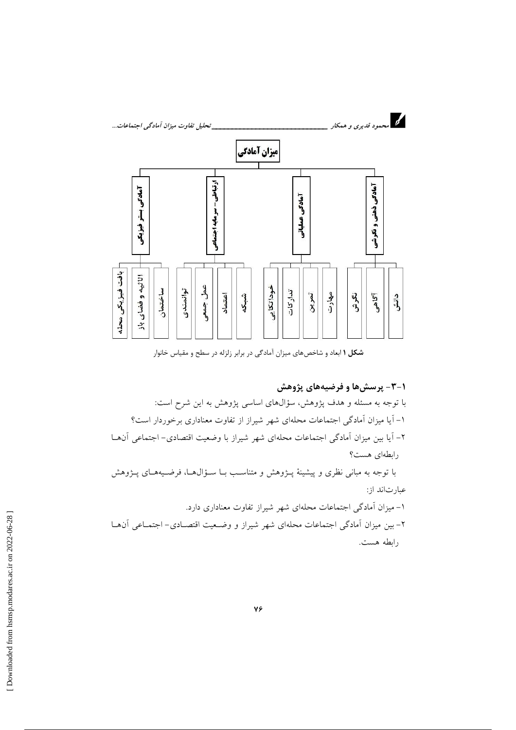

شکل ۱ ابعاد و شاخصهای میزان آمادگی در برابر زلزله در سطح و مقیاس خانوار

۰–۳– پرسشها و فرضیههای پژوهش با توجه به مسئله و هدف پژوهش، سؤالهای اساسی پژوهش به این شرح است: ۱– آیا میزان آمادگی اجتماعات محلهای شهر شیراز از تفاوت معناداری برخوردار است؟ ٢- آيا بين ميزان آمادگي اجتماعات محلهاي شهر شيراز با وضعيت اقتصادي- اجتماعي آنهـا رابطهای هست؟ با توجه به مبانی نظری و پیشینهٔ پـژوهش و متناسـب بـا سـؤال۵ـا، فرضـیههـای پـژوهش عبارتاند از: ۱– میزان آمادگی اجتماعات محلهای شهر شیراز تفاوت معناداری دارد. ٢- بين ميزان أمادگي اجتماعات محلهاي شهر شيراز و وضـعيت اقتصـادي- اجتمـاعي آن١عـا رابطه هست.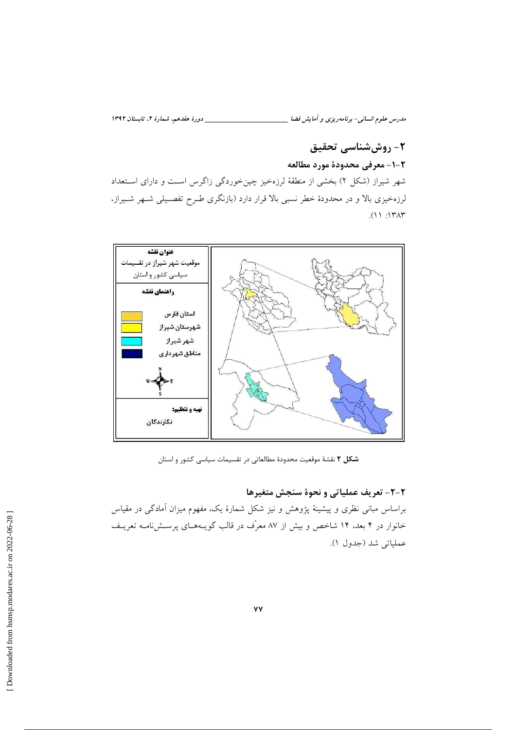مدرس علوم انسانی- برنامه ریزی و آمایش فضا \_\_\_\_\_\_\_\_\_\_\_\_\_\_\_\_\_\_\_\_\_\_\_\_\_\_\_\_\_\_ دورهٔ هفدهم، شمارهٔ ۲، تابستان ۱۳۹۲

## ٢- روش شناسي تحقيق ٢-١- معرفي محدودة مورد مطالعه

شهر شیراز (شکل ۲) بخشی از منطقهٔ لرزهخیز چینخوردگی زاگرس است و دارای استعداد

لرزهخیزی بالا و در محدودهٔ خطر نسبی بالا قرار دارد (بازنگری طـرح تفصـیلی شـهر شـیراز،  $(11.147)$ 



شکل ۲ نقشهٔ موقعیت محدودهٔ مطالعاتی در تقسیمات سیاسی کشور و استان

#### ٢-٢- تعريف عملياتي و نحوة سنجش متغيرها

براساس مبانی نظری و پیشینهٔ پژوهش و نیز شکل شمارهٔ یک، مفهوم میزان آمادگی در مقیاس خانوار در ۴ بعد، ۱۴ شاخص و بیش از ۸۷ معرّف در قالب گویـههـای پرســشiامــه تعریــف عملياتي شد (جدول ١).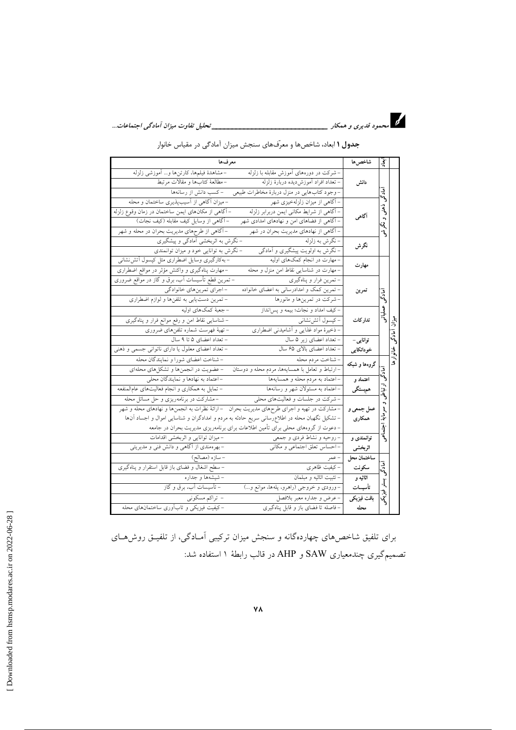جدول ۱ ابعاد، شاخصها و معرّفهای سنجش میزان آمادگی در مقیاس خانوار

| معرفها                                                                                                                                                                                                                                                                                                                                                           | شاخص ها                | $\frac{1}{2}$        |               |
|------------------------------------------------------------------------------------------------------------------------------------------------------------------------------------------------------------------------------------------------------------------------------------------------------------------------------------------------------------------|------------------------|----------------------|---------------|
| -مشاهدهٔ فیلمها، کارتنها و… اَموزشی زلزله<br>– شرکت در دورههای آموزش مقابله با زلزله<br>–مطالعهٔ کتابها و مقالات مرتبط<br>– تعداد افراد آموزش ديده دربارهٔ زلزله<br>-وجود کتابهایی در منزل دربارهٔ مخاطرات طبیعی     –کسب دانش از رسانهها                                                                                                                        | دانش                   | أمادكمى              |               |
| – میزان آگاهی از آسیبپذیری ساختمان و محله<br>- آگاهی از میزان زلزلهخیزی شهر<br>– آگاهی از مکان۱های ایمن ساختمان در زمان وقوع زلزله<br>- آگاهی از شرایط مکانی ایمن دربرابر زلزله<br>– آگاهی از وسایل کیف مقابله (کیف نجات)<br>– آگاهی از فضاهای امن و نهادهای امدادی شهر<br>–آگاهی از طرحهای مدیریت بحران در محله و شهر<br>- آگاهی از نهادهای مدیریت بحران در شهر | أگاهي                  | دو.<br>د<br>نې<br>په |               |
| – نگرش به اثربخشی اَمادگی و پیشگیری<br>- نگرش به زلزله<br>– نگرش به اولویت پیشگیری و آمادگی<br>– نگرش به توانایی خود و میزان توانمندی                                                                                                                                                                                                                            | نگرش                   |                      |               |
| –بەكارگیری وسایل اضطراری مثل كپسول آتشiنشانی<br>- مهارت در انجام کمکهای اولیه<br>–مهارت پناهگیری و واکنش مؤثر در مواقع اضطراری<br>– مهارت در شناسایی نقاط امن منزل و محله                                                                                                                                                                                        | مهارت                  |                      |               |
| – تمرین قطع تأسیسات آب، برق و گاز در مواقع ضروری<br>– تمرین فرار و پناهگیری<br>– تمرین کمک و امدادرسانی به اعضای خانواده<br>-اجراي تمرينهاي خانوادگي<br>– تمرین دست یابی به تلفنها و لوازم اضطراری<br>-شرکت در تمرینها و مانورها                                                                                                                                 | تمرين                  | امادگم               |               |
| –کیف امداد و نجات؛ بیمه و پس نداز<br>– جعبهٔ کمکهای اولیه<br>– شناسایی نقاط امن و رفع موانع فرار و پناهگیری<br>– کیسول اَتشiشان <sub>ی</sub><br>– تهیهٔ فهرست شماره تلفنهای ضروری<br>- ذخیرهٔ مواد غذایی و آشامیدنی اضطراری                                                                                                                                      | تدار كات               | عىلياتى              | بلاً<br>5     |
| - تعداد اعضای ۵ تا ۹ سال<br>- تعداد اعضای زیر ۵ سال<br>– تعداد اعضای معلول یا دارای ناتوانی جسمی و ذهنی<br>– تعداد اعضای بالای ۶۵ سال                                                                                                                                                                                                                            | توانایی –<br>خوداتكايي |                      |               |
| - شناخت اعضاي شورا و نمايندگان محله<br>– شناخت مردم محله<br>– ارتباط و تعامل با همسایهها، مردم محله و دوستان<br>- عضویت در انجمنها و تشکلهای محلهای                                                                                                                                                                                                              | گروهها و شبکه          | امادگی               | خانوارها<br>گ |
| – اعتماد به نهادها و نمایندگان محلی<br>–اعتماد به مردم محله و همسایهها<br>–اعتماد به مسئولان شهر و رسانهها<br>– تمایل به همکاری و انجام فعالیتهای عامالمنفعه                                                                                                                                                                                                     | اعتماد و<br>همېستگى    | :<br>پهل             |               |
| – مشارکت در برنامهریزی و حل مسائل محله<br>- شرکت در جلسات و فعالیتهای محلی<br>– مشارکت در تهیه و اجرای طرحهای مدیریت بحران   – ارائهٔ نظرات به انجمنها و نهادهای محله و شهر<br>– تشکیل نگهبان محله در اطلاع٫رسانی سریع حادثه به مردم و امدادگران و شناسایی اموال و اجساد أنها<br>– دعوت از گروههای محلی برای تأمین اطلاعات برای برنامهریزی مدیریت بحران در جامعه | عمل جمعي و<br>همكارى   | ı<br>چ<br>اجتماحي    |               |
| – میزان توانایی و اثربخشی اقدامات<br>– روحیه و نشاط فردی و جمعی<br>–احساس تعلق اجتماعی و مکانی<br>–بهرهمندی از آگاهی و دانش فنی و مدیریتی                                                                                                                                                                                                                        | توانمندی و<br>اثربخشى  |                      |               |
| - سازه (مصالح)<br>– سطح اشغال و فضای باز قابل استقرار و پناهگیری<br>–کیفیت ظاهری                                                                                                                                                                                                                                                                                 | ساختمان محل<br>سكونت   | آمادگی               |               |
| – شیشهها و جداره<br>– تثبيت اثاثيه و مبلمان<br>– تأسیسات آب، برق و گاز<br>-ورودی و خروجی (راهرو، پلهها، موانع و…)                                                                                                                                                                                                                                                | اثاثيه و<br>تأسيسات    | j.                   |               |
| – تراکم مسکونی<br>- عرض و جداره معبر بلافصل<br>–کیفیت فیزیکی و تابآوری ساختمانهای محله<br>- فاصله تا فضای باز و قابل پناهگیری                                                                                                                                                                                                                                    | بافت فيزيكي<br>محله    | ૻૺૺૺ                 |               |

برای تلفیق شاخصهای چهاردهگانه و سنجش میزان ترکیبی آمـادگی، از تلفیــق روش۹ـای تصمیمگیری چندمعیاری SAW و AHP در قالب رابطهٔ ۱ استفاده شد: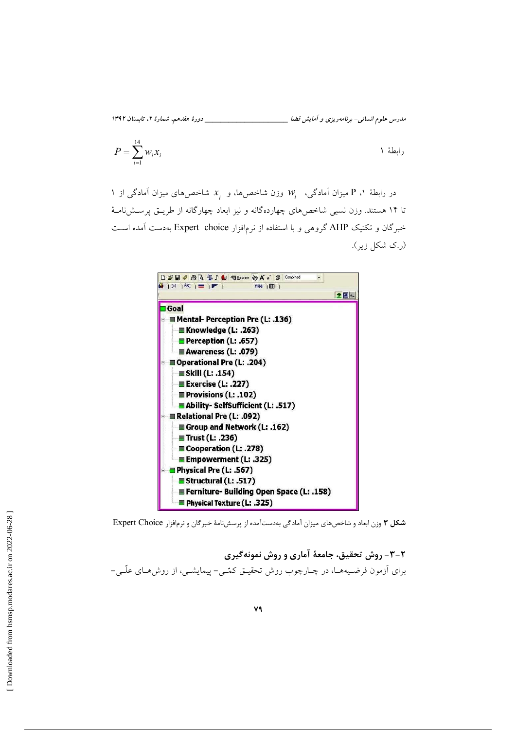مدرس علوم انسانی- برنامه ریزی و آمایش فضا \_\_\_\_\_\_\_\_\_\_\_\_\_\_\_\_\_\_\_\_\_\_\_\_\_\_\_\_\_\_ دورهٔ هفدهم، شمارهٔ ۲، تابستان ۱۳۹۲

$$
P = \sum_{i=1}^{14} w_i x_i
$$

در رابطهٔ ۱، P میزان آمادگی،  $W_i$  وزن شاخصها، و  $x_i$  شاخصهای میزان آمادگی از ۱ تا ۱۴ هستند. وزن نسبی شاخص های چهاردهگانه و نیز ابعاد چهارگانه از طریــق پرســش نامــهٔ خبرگان و تکنیک AHP گروهی و با استفاده از نرمافزار Expert choice بهدست آمده است (ر.ک شکل زیر).



شکل ۳ وزن ابعاد و شاخص های میزان آمادگی بهدستآمده از پرسش نامهٔ خبرگان و نرمافزار Expert Choice

٢-٣- روش تحقيق، جامعهٔ آماري و روش نمونهگيري برای اَزمون فرضـیههــا، در چــارچوب روش تحقیــق کمـّـی- پیمایشــی، از روشهــای علّــی-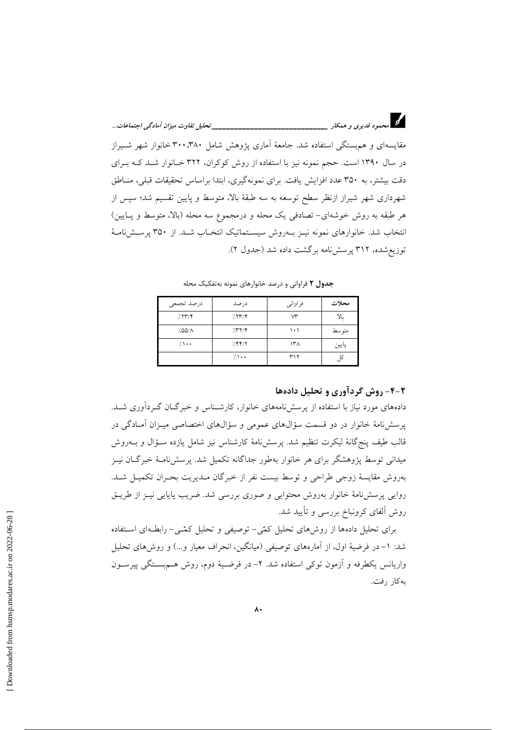مقایسهای و هم بستگی استفاده شد. جامعهٔ آماری یژوهش شامل ۳۸۰، ۳۸۰ خانوار شهر شیراز در سال ۱۳۹۰ است. حجم نمونه نیز با استفاده از روش کوکران، ۳۲۲ خـانوار شـد کـه بـرای دقت بیشتر، به ۳۵۰ عدد افزایش یافت. برای نمونهگیری، ابتدا براساس تحقیقات قبلی، منـاطق شهرداری شهر شیراز ازنظر سطح توسعه به سه طبقهٔ بالا، متوسط و پایین تقسیم شد؛ سپس از هر طبقه به روش خوشهای- تصادفی یک محله و درمجموع سه محله (بالا، متوسط و پـایین) انتخاب شد. خانوارهای نمونه نیبز پهروش سیستماتیک انتخباب شبد. از ۳۵۰ پرستش نامیهٔ توزیع شده، ۳۱۲ پرسش نامه برگشت داده شد (جدول ۲).

| درصد تجمعي      | درصد            | فراواني | محلات |
|-----------------|-----------------|---------|-------|
| 7.777           | 7.777           | v٣      | بالا  |
| 7.00/A          | 7577            | ۱۰۱     | متوسط |
| $7 \cdot \cdot$ | 7.88/7          | ۱۳۸     | پايين |
|                 | $7 \rightarrow$ | ۳۱۲     | ß     |

جدول ٢ فراوانی و درصد خانوارهای نمونه به تفکیک محله

#### ۶-۴- روش گردآوری و تحلیل دادهها

دادههای مورد نیاز با استفاده از پرسشنامههای خانوار، کارشـناس و خبرگـان گـردآوری شــد. یر سش نامهٔ خانوار در دو قسمت سؤالهای عمومی و سؤالهای اختصاصی میـزان آمـادگی در قالب طيف پنج گانهٔ ليكرت تنظيم شد. پرسشنامهٔ كارشناس نيز شامل يازده سـؤال و بــهروش میدانی توسط پژوهشگر برای هر خانوار بهطور جداگانه تکمیل شد. پرسش نامـهٔ خبرگــان نیــز بهروش مقايسهٔ زوجی طراحی و توسط بیست نفر از خبرگان مـدیریت بحـران تکمیــل شــد. روایی پرسشنامهٔ خانوار بهروش محتوایی و صوری بررسی شد. ضریب پایایی نیـز از طریــق روش ألفاي كرونباخ بررسي و تأييد شد.

برای تحلیل دادهها از روشهای تحلیل کمّی- توصیفی و تحلیل کمّی- رابطهای استفاده شد: ١- در فرضيهٔ اول، از آمارههاى توصيفى (ميانگين، انحراف معيار و...) و روشهاى تحليل واریانس یکطرفه و آزمون توکی استفاده شد. ۲– در فرضـیهٔ دوم، روش هــمېســتگی پیرســون بهكار رفت.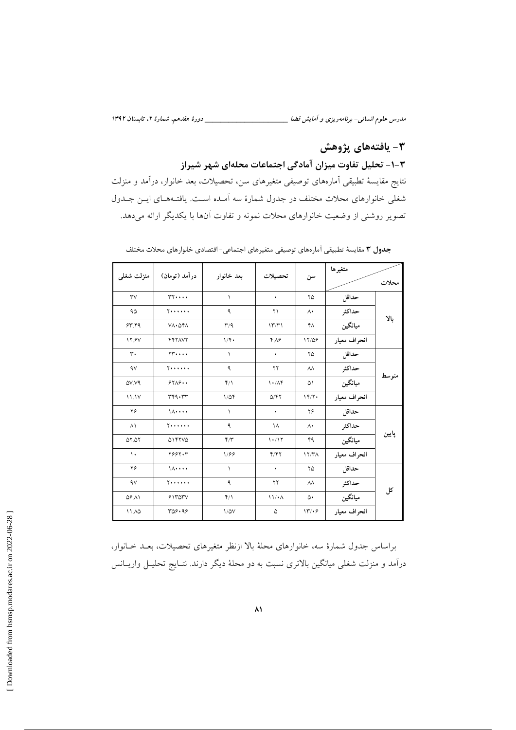مدرس علوم انسانی- برنامه ریزی و آمایش فضا \_\_\_\_\_\_\_\_\_\_\_\_\_\_\_\_\_\_\_\_\_\_\_\_\_\_\_\_\_\_ دورهٔ هفدهم، شمارهٔ ۲، تابستان ۱۳۹۲

## ۴- يافتەهاي پژوهش

#### ۳-۱- تحلیل تفاوت میزان آمادگی اجتماعات محلهای شهر شیراز

نتايج مقايسهٔ تطبيقي اَمارەهاي توصيفي متغيرهاي سن، تحصيلات، بعد خانوار، دراَمد و منزلت شغلی خانوارهای محلات مختلف در جدول شمارهٔ سه آمـده اسـت. یافتـههـای ایـن جـدول تصویر روشنی از وضعیت خانوارهای محلات نمونه و تفاوت آنها با یکدیگر ارائه میدهد.

|                      |                                   |                         |                        |                   | متغيرها      |       |  |
|----------------------|-----------------------------------|-------------------------|------------------------|-------------------|--------------|-------|--|
| منزلت شغلى           | درآمد (تومان)                     | بعد خانوار              | تحصيلات                | سن                |              | محلات |  |
| rv                   | $rr \cdots$                       | ١                       | ٠                      | ۲۵                | حداقل        |       |  |
| ۹۵                   | $Y \cdot \cdot \cdot \cdot \cdot$ | ٩                       | ۲۱                     | $\Lambda$         | حداكثر       |       |  |
| 57.79                | $V \wedge \cdot \Delta Y \wedge$  | $\mathsf{r}/\mathsf{q}$ | 17/T1                  | ۴٨                | ميانگين      | بالا  |  |
| <b>17.9V</b>         | <b>YYYAVY</b>                     | $1/\mathfrak{f}$        | $Y \wedge 9$           | 11/09             | انحراف معيار |       |  |
| $\mathsf{r}$ .       | $\gamma \gamma \cdots$            | ١                       | ٠                      | ۲۵                | حداقل        |       |  |
| 4V                   | <b>Y</b> *****                    | ٩                       | ۲۲                     | $\lambda\lambda$  | حداكثر       |       |  |
| QV.V9                | 57A9                              | $Y/\lambda$             | $\mathcal{N}(\lambda)$ | ۵۱                | ميانگين      | متوسط |  |
| 11.1V                | rrq.rrr                           | $1/\Delta f$            | Q/YY                   | 14/7.             | انحراف معيار |       |  |
| ۲۶                   | $\lambda \cdot \cdot \cdot \cdot$ | ١                       | ٠                      | ۲۶                | حداقل        |       |  |
| $\wedge$             | <b>Y</b> *****                    | ٩                       | ١٨                     | $\Lambda$         | حداكثر       |       |  |
| ۵۲.۵۲                | 014110                            | $\mathbf{r}/\mathbf{r}$ | 1.17                   | ۴۹                | ميانگين      | ڀاپين |  |
| $\mathcal{L}$        | Y55YY                             | 1/99                    | Y/Y                    | 17/T <sub>A</sub> | انحراف معيار |       |  |
| ۲۶                   | $\lambda \cdot \cdot \cdot \cdot$ | $\lambda$               | $\bullet$              | ۲۵                | حداقل        |       |  |
| 4V                   | $Y \cdot \cdot \cdot \cdot \cdot$ | ٩                       | ۲۲                     | $\lambda\lambda$  | حداكثر       |       |  |
| $\Delta$ ۶ $\Lambda$ | $51$ rorv                         | $Y/\lambda$             | 11/4A                  | ۵۰                | ميانگين      | کل    |  |
| 11.10                | ۳۵۶.۹۶                            | $1/\Delta V$            | ۵                      | 17.9              | انحراف معيار |       |  |

جدول ۳ مقایسهٔ تطبیقی آمارههای توصیفی متغیرهای اجتماعی-اقتصادی خانوارهای محلات مختلف

براساس جدول شمارهٔ سه، خانوارهای محلهٔ بالا ازنظر متغیرهای تحصیلات، بعـد خـانوار، درآمد و منزلت شغلی میانگین بالاتری نسبت به دو محلهٔ دیگر دارند. نتـایج تحلیـل واریــانس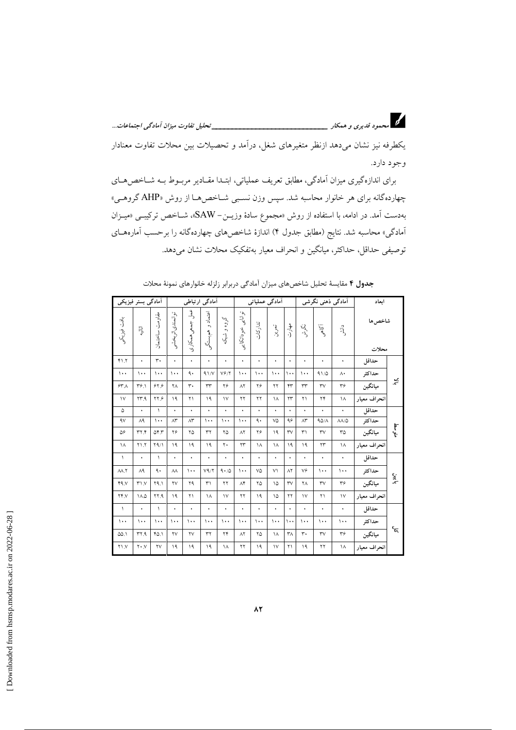یکطرفه نیز نشان میدهد ازنظر متغیرهای شغل، درآمد و تحصیلات بین محلات تفاوت معنادار وجود دارد.

برای اندازهگیری میزان آمادگی، مطابق تعریف عملیاتی، ابتـدا مقـادیر مربـوط بـه شـاخص۵حـای چهاردهگانه برای هر خانوار محاسبه شد. سپس وزن نسـبی شـاخص۵مـا از روش «AHP گروهـی» بهدست آمد. در ادامه، با استفاده از روش «مجموع سادهٔ وزیــن– SAW»، شــاخص ترکیبــی «میــزان آمادگی» محاسبه شد. نتایج (مطابق جدول ۴) اندازهٔ شاخصهای چهاردهگانه را برحسب آمارههــای توصیفی حداقل، حداکثر، میانگین و انحراف معیار بهتفکیک محلات نشان میدهد.

|            | ابعاد        |                         | آمادگی ذہنی نگرشی         |                   |                      | آمادگی عملیاتی       |                      |                       |                                       | آمادگی ارتباطی        |                        |                        |                        | أمادگى بستر فيزيكى            |                 |
|------------|--------------|-------------------------|---------------------------|-------------------|----------------------|----------------------|----------------------|-----------------------|---------------------------------------|-----------------------|------------------------|------------------------|------------------------|-------------------------------|-----------------|
|            | شاخص ها      | $\frac{1}{2}$           | آکاهمی                    | ړنې<br>د          | چ<br>(ن              | تەرىن                | تداركات              | توانايى<br>شوداتكا يى | گروه و شبک                            | اعتماد و<br>ِ همېستگى | لحمل<br>جمعى همكارى    | توانمندي اثربخشو       | مقاومت<br>ساختمان      | 马.                            | بافت فيزيكو     |
|            | محلات        |                         |                           |                   |                      |                      |                      |                       |                                       |                       |                        |                        |                        |                               |                 |
|            | حداقل        | ٠                       | ۰                         | ٠                 | $\bullet$            | $\bullet$            | ۰                    | ٠                     | ٠                                     | ٠                     | ۰                      | ٠                      | ٣.                     | ٠                             | $Y \setminus Y$ |
|            | حداكثر       | $\Lambda$               | 91/0                      | $\cdots$          | $\cdots$             | $\cdots$             | $\cdots$             | $\cdots$              | $V \hat{Y} / Y$                       | 91/                   | ٩.                     | $\cdots$               | $\cdots$               | $\cdots$                      | $\cdots$        |
| ∌.         | ميانگين      | ٣۶                      | $\mathsf{rv}$             | $\tau\tau$        | ۴٣                   | ۲۲                   | ۲۶                   | $\wedge$              | ۲۶                                    | rr                    | $\mathbf{r}$ .         | ٢Λ                     | ۶۲۶                    | $Y^{\varphi}$ .               | ۶۳۸             |
|            | انحراف معيار | ۱۸                      | $\mathbf{Y}^{\mathbf{F}}$ | ۲۱                | ۲۳                   | ١٨                   | ۲۲                   | $\Upsilon$            | $\vee$                                | $\overline{1}$        | ۲۱                     | ١٩                     | ۶۲۶                    | YY.9                          | $\vee$          |
|            | حداقل        | ٠                       | $\bullet$                 | ٠                 | $\bullet$            | $\ddot{\phantom{0}}$ | $\ddot{\phantom{0}}$ | $\ddot{\phantom{0}}$  | $\ddot{\phantom{a}}$                  | $\ddot{\phantom{0}}$  | $\bullet$              | $\ddot{\phantom{0}}$   | $\sqrt{2}$             | $\bullet$                     | ۵               |
|            | حداكثر       | $\Lambda\Lambda/\Delta$ | 90/1                      | $\wedge\breve{r}$ | ۹۶                   | ٧۵                   | ٩.                   | $\cdots$              | $\cdots$                              | $\cdots$              | $\wedge\breve{r}$      | $\wedge^{\star}$       | $\cdots$               | $\Lambda$ ٩                   | 4V              |
| متوسط      | ميانگين      | ٣۵                      | $\mathsf{rv}$             | ٣١                | $\forall$            | ١٩                   | ۲۶                   | $\wedge$ ٢            | ۲۵                                    | $\mathbf{r}$          | ۲۵                     | ۲۶                     | ۵۴.۳                   | YYY                           | ۵۶              |
|            | انحراف معيار | ۱۸                      | $\Upsilon$                | ۱۹                | ١٩                   | ١٨                   | ۱۸                   | $\mathbf{y}$          | $\mathbf{y}$                          | ١٩                    | ١٩                     | $\mathcal{A}$          | $Y \Lambda / \Lambda$  | $Y \setminus Y$               | ۱۸              |
|            | حداقل        | ٠                       | ٠                         | ٠                 | $\bullet$            | $\bullet$            | $\bullet$            | $\bullet$             | ٠                                     | ۰                     | ۰                      | ٠                      | $\lambda$              | $\bullet$                     | $\lambda$       |
|            | حداكثر       | $\cdots$                | $\cdots$                  | ٧۶                | $\Lambda$ ٢          | V                    | ٧۵                   | $\cdots$              | $\mathop{\mathsf{A}\cdot/\mathsf{A}}$ | V9/7                  | $\cdots$               | $\wedge\wedge$         | ٩.                     | $\wedge$                      | AA.7            |
| بايين      | ميانگين      | ٣۶                      | $\mathsf{rv}$             | ۲Λ                | $\mathsf{rv}$        | ۱۵                   | ۲۵                   | $\Lambda^*$           | $\Upsilon$                            | $\uparrow$            | ۲۹                     | $\mathsf{Y}\mathsf{V}$ | ۲۹.۱                   | $Y \setminus Y$               | 44.1            |
|            | انحراف معيار | $\backslash\mathsf{V}$  | ۲۱                        | $\vee$            | $\mathbf{y}$         | ۱۵                   | ١٩                   | ۲۲                    | $\mathcal{N}$                         | ۱۸                    | ۲۱                     | $\mathcal{A}$          | ٢٢.٩                   | $\Lambda \Delta$              | YYY             |
|            | حداقل        | ٠                       | $\bullet$                 | ٠                 | $\ddot{\phantom{0}}$ | $\ddot{\phantom{0}}$ | $\bullet$            | $\ddot{\phantom{0}}$  | $\ddot{\phantom{0}}$                  | $\ddot{\phantom{0}}$  | $\bullet$              | $\ddot{\phantom{0}}$   | $\sqrt{2}$             | $\ddot{\phantom{0}}$          | $\sqrt{2}$      |
|            | حداكثر       | $\cdots$                | $\cdots$                  | $\cdots$          | $\cdots$             | $\cdots$             | $\cdots$             | $\cdots$              | $\cdots$                              | $\cdots$              | $\cdots$               | $\cdots$               | $\cdots$               | $\cdots$                      | $\cdots$        |
| $\epsilon$ | ميانگين      | $\mathbf{r}$ ۶          | $\mathsf{rv}$             | $\mathbf{r}$ .    | $\mathsf{r}_\Lambda$ | ١٨                   | ۲۵                   | $\wedge$              | $\mathbf{y}$                          | $\tau\tau$            | $\mathsf{Y}\mathsf{V}$ | $\mathsf{Y}\mathsf{V}$ | ۴۵.۱                   | YY.9                          | ۵۵.۱            |
|            | انحراف معيار | ۱۸                      | $\Upsilon$                | ١٩                | $\Upsilon$           | $\vee$               | ١٩                   | $\Upsilon$            | ١٨                                    | $\overline{1}$        | $\overline{1}$         | ١٩                     | $\mathsf{Y}\mathsf{V}$ | $\mathbf{Y} \cdot \mathbf{N}$ | $Y \setminus Y$ |

جدول ۴ مقايسهٔ تحليل شاخصهاى ميزان آمادگي دربرابر زلزله خانوارهاى نمونهٔ محلات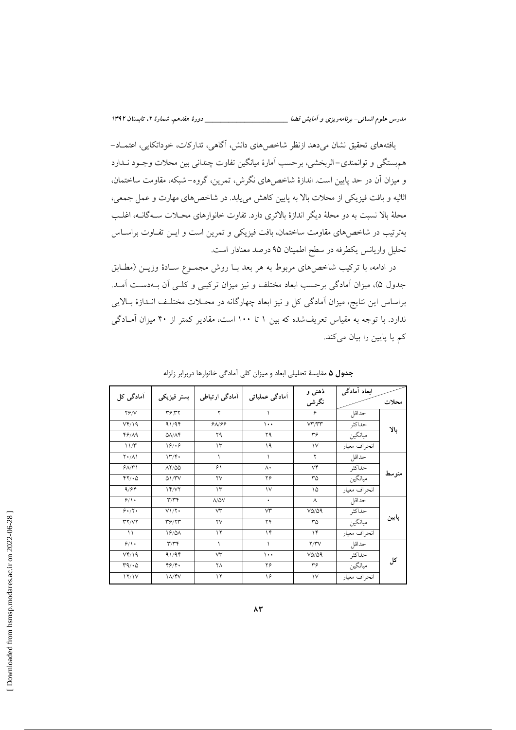يافتههاي تحقيق نشان مي دهد ازنظر شاخص هاي دانش، اگاهي، تداركات، خوداتكايي، اعتمــاد-هم بستگی و توانمندی–اثربخشی، برحسب آمارهٔ میانگین تفاوت چندانی بین محلات وجـود نــدارد و میزان آن در حد پایین است. اندازهٔ شاخصهای نگرش، تمرین، گروه- شبکه، مقاومت ساختمان، اثاثیه و بافت فیزیکی از محلات بالا به پایین کاهش می یابد. در شاخصهای مهارت و عمل جمعی، محلهٔ بالا نسبت به دو محلهٔ دیگر اندازهٔ بالاتری دارد. تفاوت خانوارهای محــلات ســهگانــه، اغلــــــ بهترتیب در شاخصهای مقاومت ساختمان، بافت فیزیکی و تمرین است و ایــن تفــاوت براســاس تحلیل واریانس یکطرفه در سطح اطمینان ۹۵ درصد معنادار است.

در ادامه، با ترکیب شاخصهای مربوط به هر بعد بـا روش مجمـوع سـادهٔ وزیـن (مطـابق جدول ۵)، میزان آمادگی برحسب ابعاد مختلف و نیز میزان ترکیبی و کلـی آن بـهدسـت آمـد. براساس این نتایج، میزان آمادگی کل و نیز ابعاد چهارگانه در محـلات مختلـف انـدازهٔ بـالایی ندارد. با توجه به مقیاس تعریفشده که بین ١ تا ١٠٠ است، مقادیر کمتر از ۴۰ میزان آمادگی کم یا پایین را بیان میکند.

| آمادگی کل           |                           | آمادگی ارتباطی         | اَمادگی عملیاتی | ذهنی و        | ابعاد أمادگي |       |  |
|---------------------|---------------------------|------------------------|-----------------|---------------|--------------|-------|--|
|                     | بستر فيزيكي               |                        |                 | نگرشى         |              | محلات |  |
| $Y \hat{Y} / V$     | ٣۶.٣٢                     | ۲                      |                 | ۶             | حداقل        |       |  |
| $Vf/\19$            | 91/94                     | 9A/99                  | $\cdots$        | VT/TT         | حداكثر       | بالا  |  |
| 49/19               | $\Delta\lambda/\Lambda$ ۴ | ۲۹                     | ۲۹              | ٣۶            | ميانگين      |       |  |
| 11/T                | 19/19                     | $\Upsilon$             | ۱۹              | $\vee$        | انحراف معيار |       |  |
| $Y \cdot / \Lambda$ | 177.                      |                        |                 | ٢             | حداقل        |       |  |
| 9/1                 | $\lambda$ Y/QQ            | ۶١                     | $\Lambda$       | ٧۴            | حداكثر       |       |  |
| $YY/\cdot 0$        | $Q1/\Upsilon V$           | $\mathsf{Y}\mathsf{V}$ | ۲۶              | ٣۵            | ميانگين      | متوسط |  |
| 9/94                | 14/VI                     | $\Upsilon$             | $\vee$          | ۱۵            | انحراف معيار |       |  |
| 9/1                 | $\mathbf{r}/\mathbf{r}$   | $\Lambda/\Delta V$     | ٠               | Λ             | حداقل        |       |  |
| 9.7.                | $V1/\Upsilon$             | $\forall$ <sup>*</sup> | $\forall$       | $VQ/\Omega$   | حداكثر       |       |  |
| YY/YY               | T9/7T                     | $\mathsf{Y}\mathsf{V}$ | ۲۴              | ٣۵            | ميانگين      | پایین |  |
| $\setminus$         | 19/0A                     | $\gamma$               | $\gamma$        | $\gamma$      | انحراف معيار |       |  |
| 9/1                 | $\mathbf{r}/\mathbf{r}$   | $\lambda$              | $\sqrt{2}$      | Y/YV          | حداقل        |       |  |
| $VY/\$              | 91/94                     | $\forall$ <sup>*</sup> | $\cdots$        | $VQ/\Omega$   | حداكثر       |       |  |
| $r_1 \cdot \omega$  | Y5/Y                      | ٢Λ                     | ۲۶              | ٣۶            | ميانگين      | کل    |  |
| 17/1V               | <b>IA/YV</b>              | ۱۲                     | ۱۶              | $\mathcal{N}$ | انحراف معبار |       |  |

جدول ۵ مقایسهٔ تحلیلی ابعاد و میزان کلی آمادگی خانوارها دربرابر زلزله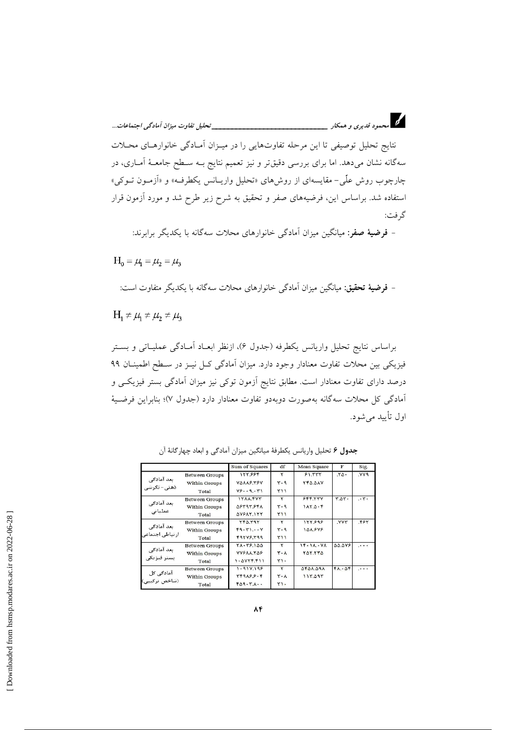.<br>نتایج تحلیل توصیفی تا این مرحله تفاوتهایی را در میـزان آمـادگی خانوارهـای محـلات سهگانه نشان میدهد. اما برای بررسی دقیقتر و نیز تعمیم نتایج بـه سـطح جامعـهٔ آمــاری، در چارچوب روش علّی- مقایسهای از روشهای «تحلیل واریـانس یکطرفـه» و «اَزمـون تــوکی» استفاده شد. براساس این، فرضیههای صفر و تحقیق به شرح زیر طرح شد و مورد آزمون قرار گر فت:

- فرضیهٔ صفر: میانگین میزان آمادگی خانوارهای محلات سهگانه با یکدیگر برابرند:

 $H_0 = \mu_1 = \mu_2 = \mu_3$ 

- فرضيهٔ تحقيق: ميانگين ميزان آمادگي خانوارهاي محلات سهگانه با يكديگر متفاوت است:

 $H_1 \neq \mu_1 \neq \mu_2 \neq \mu_3$ 

براساس نتایج تحلیل واریانس یکطرفه (جدول ۶)، ازنظر ابعـاد آمـادگی عملیـاتی و بسـتر فیزیکی بین محلات تفاوت معنادار وجود دارد. میزان آمادگی کـل نیــز در ســطح اطمینــان ۹۹ درصد دارای تفاوت معنادار است. مطابق نتایج آزمون توکی نیز میزان آمادگی بستر فیزیکـی و آمادگی کل محلات سهگانه بهصورت دوبهدو تفاوت معنادار دارد (جدول ۷)؛ بنابراین فرضیهٔ اول تأييد مي شود.

|                                |                       | Sum of Squares                 | df         | Mean Square     | F             | Sig.            |
|--------------------------------|-----------------------|--------------------------------|------------|-----------------|---------------|-----------------|
|                                | <b>Between Groups</b> | 177.884                        | ۲          | 51.777          | $.70 -$       | <b>PYY.</b>     |
| بعد آمادگی<br>ذهنی– نگرشی      | Within Groups         | VOAAS YSV                      | ۳۰۹        | <b>YFA.AAV</b>  |               |                 |
|                                | Total                 | Y59.51                         | <b>٣١١</b> |                 |               |                 |
|                                | <b>Between Groups</b> | IYAA.FYY                       | ۲          | 555 YYY         | ٣.٥٣٠         | $\cdot$ $\cdot$ |
| بعد آمادگی<br>عملیاتی          | Within Groups         | <b><i><u>DETATEFA</u></i></b>  | ۳۰۹        | 1AYQ.F          |               |                 |
|                                | Total                 | <b><i><u>AVEAY.ITY</u></i></b> | Y11        |                 |               |                 |
|                                | <b>Between Groups</b> | YFA.T9Y                        | ۲          | 177.898         | <b>VYY</b>    | ۴۶۲.            |
| بعد آمادگی<br>ار نباطی اجتماعی | Within Groups         | F9.71.0V                       | $Y - 9$    | 10A. FYF        |               |                 |
|                                | Total                 | Farverag                       | Y11        |                 |               |                 |
|                                | <b>Between Groups</b> | <b>YA. 79.100</b>              | ۲          | $1f - 1A - VA$  | <b>44.478</b> | $\cdots$        |
| بعد آمادگی<br>بستر فیزیکی      | <b>Within Groups</b>  | <b>YYFAA.YAF</b>               | $Y - A$    | YOY YYO         |               |                 |
|                                | Total                 | 1.0YYF.F11                     | $Y$ ).     |                 |               |                 |
|                                | <b>Between Groups</b> | $1 - 91Y.195$                  | ۲          | <b>APDA.09A</b> | FA.05         |                 |
| آمادگی کل<br>(شاخص ترکیبی)     | Within Groups         | YF9A5.5.5                      | $Y - A$    | 115.095         |               |                 |
|                                | Total                 | $F\Delta$ 9. $Y\ldots$         | $Y$ ).     |                 |               |                 |

جدول ۶ تحليل واريانس يكطرفة ميانگين ميزان آمادگي و ابعاد چهارگانهٔ آن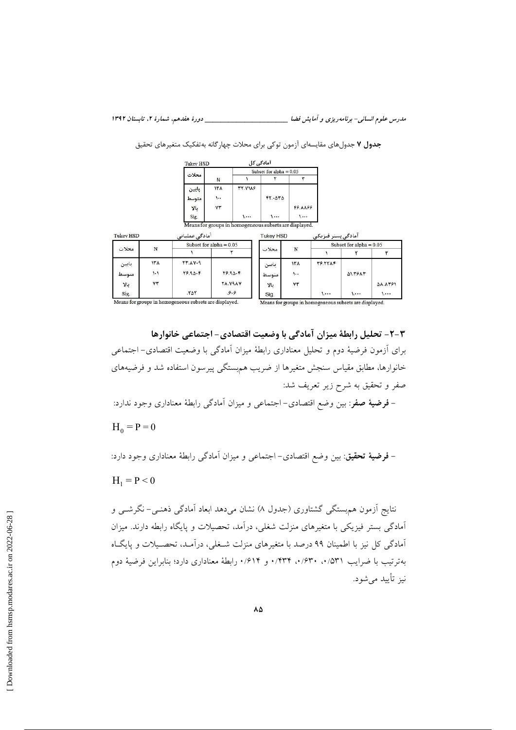|                  |             | <b>Tukey HSD</b>                                       |                           | آمادگے, کل     |                         |                      |                           |                           |         |  |  |
|------------------|-------------|--------------------------------------------------------|---------------------------|----------------|-------------------------|----------------------|---------------------------|---------------------------|---------|--|--|
|                  |             | محلات                                                  |                           |                |                         |                      | Subset for alpha $= 0.05$ |                           |         |  |  |
|                  |             |                                                        | N                         |                |                         | ٣                    |                           |                           |         |  |  |
|                  |             | پايين                                                  | ۱۳۸                       | <b>TT.VIAS</b> |                         |                      |                           |                           |         |  |  |
|                  |             | متوسط<br>بالا<br>Sig.                                  | $\ddotsc$<br>VT           | 1.             | FT.4T <sub>0</sub><br>1 | <b>FS.AA99</b><br>1  |                           |                           |         |  |  |
|                  |             | Means for groups in homogeneous subsets are displayed. |                           |                |                         |                      |                           |                           |         |  |  |
|                  |             | آمادگے عملیاتی                                         |                           |                | <b>Tukey HSD</b>        |                      | آمادگی بستر فیزیکی        |                           |         |  |  |
| <b>Tukey HSD</b> |             |                                                        | Subset for alpha $= 0.05$ |                |                         |                      |                           | Subset for alpha = $0.05$ |         |  |  |
| محلات            | N           |                                                        |                           |                | محلات                   | N                    |                           |                           |         |  |  |
| بابين            | ١٣٨         | <b>٢٣.٨٧٠٩</b>                                         |                           |                | ياسن                    | ۱۳۸                  | <b>TS.TTAF</b>            |                           |         |  |  |
| متوسط            | $1 - 1$     | $19.90 - F$                                            |                           | $Y9.90 - F$    | متوسط                   | $\sum_{i=1}^{n} x_i$ |                           | <b>ALTEAT</b>             |         |  |  |
| بالا             | $Y\uparrow$ |                                                        |                           | <b>YA.VIAV</b> | ىالا                    | ۷٣                   |                           |                           | 58.8491 |  |  |

جدول ۷ جدولهای مقایسهای آزمون توکی برای محلات چهارگانه بهتفکیک متغیرهای تحقیق

٣-٣- تحليل رابطة ميزان آمادكي با وضعيت اقتصادي- اجتماعي خانوارها برای أزمون فرضیهٔ دوم و تحلیل معناداری رابطهٔ میزان آمادگی با وضعیت اقتصادی– اجتماعی خانوارها، مطابق مقیاس سنجش متغیرها از ضریب هم بستگی پیرسون استفاده شد و فرضیههای صفر و تحقیق به شرح زیر تعریف شد: – فرضیهٔ صفر: بین وضع اقتصادی– اجتماعی و میزان آمادگی رابطهٔ معناداری وجود ندارد:

 $H_0 = P = 0$ 

– فرضيهٔ تحقیق: بین وضع اقتصادی– اجتماعی و میزان آمادگی رابطهٔ معناداری وجود دارد:

 $H_1 = P < 0$ 

نتایج اَزمون هم بستگی گشتاوری (جدول ۸) نشان میدهد ابعاد اَمادگی ذهنـی- نگرشــی و آمادگی بستر فیزیکی با متغیرهای منزلت شغلی، درآمد، تحصیلات و پایگاه رابطه دارند. میزان آمادگی کل نیز با اطمینان ۹۹ درصد با متغیرهای منزلت شـغلی، درآمـد، تحصـیلات و پایگـاه بهترتيب با ضرايب ٥٣١/ ٠، ٠/٤٣٠، ٠/٤٣٣. و ٠/٤١۴. رابطة معناداري دارد؛ بنابراين فرضية دوم نيز تأييد مي شود.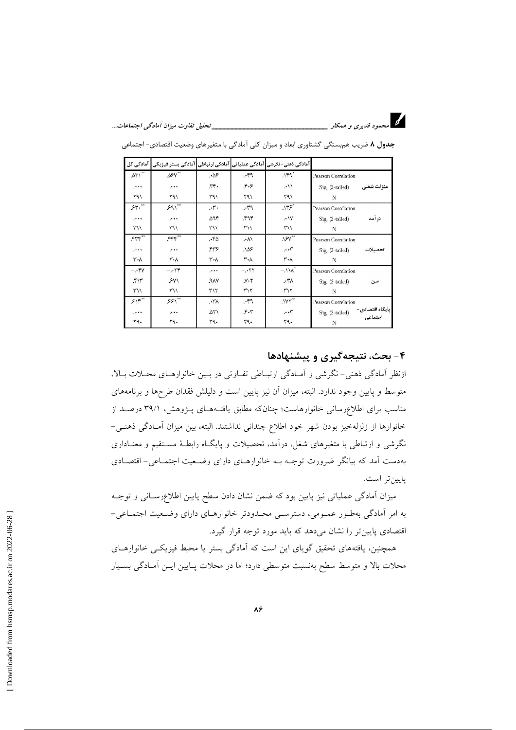

|                | آمادگی ذھنی-نگرشی آمادگی عملیاتی آمادگی رتباطی آمادگی بستر فیزیکی آمادگی کل |                   |                                 |                  |                     |            |
|----------------|-----------------------------------------------------------------------------|-------------------|---------------------------------|------------------|---------------------|------------|
| $\Delta Y^*$   | $\Delta \text{S-V}^{\text{xx}}$                                             | .86               | .49                             | $119^x$          | Pearson Correlation |            |
|                |                                                                             | rr.               | $F - F$                         | $\cdot$          | Sig. (2-tailed)     | منزلت شغلى |
| 191            | 197                                                                         | 197               | 197                             | 791              | N                   |            |
| 54.8           | $591^{xx}$                                                                  | $\cdot$ , $\cdot$ | $P^{\prime\prime}$ .            | .1195            | Pearson Correlation |            |
| $\cdots$       | $\rightarrow$ + +                                                           | 29۴               | ۴۹۴                             | .1V              | Sig. (2-tailed)     | در آمد     |
| 117            | $\frac{1}{2}$                                                               | $\frac{1}{2}$     | 117                             | ۳۱۱              | N                   |            |
|                | $rrr^*$                                                                     | .40               | $\Lambda$                       | $.15V^*$         | Pearson Correlation |            |
| $\ddotsc$      | .                                                                           | ۴۳۶               | $\Delta S$                      | $\cdots$         | Sig. (2-tailed)     | تحصيلات    |
| ۳٠۸            | ٣٠٨                                                                         | ۳۰λ               | ۳۰۸                             | ۳٠٨              | N                   |            |
| $-.$ ۴۷        | $-.$                                                                        |                   | $-.77$                          | $-.11\text{A}^2$ | Pearson Correlation |            |
| $\mathfrak{r}$ | SY                                                                          | ۹۸۷.              | $Y - Y$                         | $\lambda 7$      | Sig. (2-tailed)     | سن         |
| 117            | 117                                                                         | ٣١٢               | $Y\setminus Y$                  | ٣١٢              | N                   |            |
| $515^{xx}$     | $551^{xx}$                                                                  | ۸٦٠.              | .49                             | $.1YY^{\times}$  | Pearson Correlation |            |
| $1 + 1 +$      |                                                                             | ۵۲۱               | $\mathcal{F} \cdot \mathcal{Y}$ | $\cdots$         | Sig. (2-tailed)     |            |
| 54.            | Y9.                                                                         | 79.               | 54.                             | ٢٩.              | N                   |            |

جدول ۸ ضریب هم بستگی گشتاوری ابعاد و میزان کلی آمادگی با متغیرهای وضعیت اقتصادی- اجتماعی

#### ۴- بحث، نتیجهگیری و پیشنهادها

ازنظر آمادگی ذهنی- نگرشی و آمـادگی ارتبـاطی تفـاوتی در بـین خانوارهـای محـلات بـالا، متوسط و پایین وجود ندارد. البته، میزان آن نیز پایین است و دلیلش فقدان طرحها و برنامههای مناسب برای اطلاعرسانی خانوارهاست؛ چنانکه مطابق یافتـههـای پـژوهش، ۳۹/۱ درصـد از خانوارها از زلزلهخیز بودن شهر خود اطلاع چندانی نداشتند. البته، بین میزان آمـادگی ذهنـی-نگرشی و ارتباطی با متغیرهای شغل، درآمد، تحصیلات و پایگـاه رابطـهٔ مسـتقیم و معنـاداری بهدست آمد که بیانگر ضرورت توجـه بـه خانوارهـای دارای وضـعیت اجتمـاعی- اقتصـادی يايين تر است.

میزان آمادگی عملیاتی نیز پایین بود که ضمن نشان دادن سطح پایین اطلاعرسـانی و توجــه به امر آمادگی بهطور عمـومی، دسترسـی محـدودتر خانوارهـای دارای وضـعیت اجتمـاعی-اقتصادی پایین تر را نشان میدهد که باید مورد توجه قرار گیرد.

همچنین، یافتههای تحقیق گویای این است که آمادگی بستر یا محیط فیزیکـی خانوارهـای محلات بالا و متوسط سطح بەنسبت متوسطى دارد؛ اما در محلات پـايين ايــن أمــادگى بســيار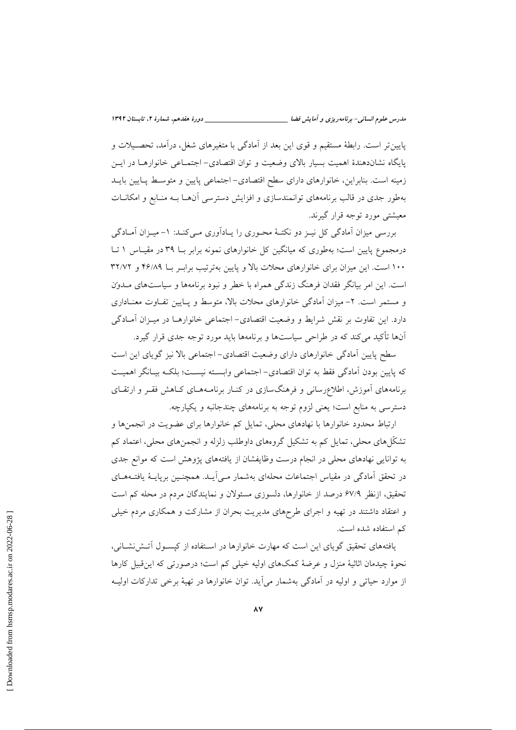پایین تر است. رابطهٔ مستقیم و قوی این بعد از آمادگی با متغیرهای شغل، درآمد، تحصـیلات و پایگاه نشاندهندهٔ اهمیت بسیار بالای وضعیت و توان اقتصادی- اجتمـاعی خانوارهـا در ایــن زمینه است. بنابراین، خانوارهای دارای سطح اقتصادی- اجتماعی پایین و متوسط پـایین بایـد بهطور جدی در قالب برنامههای توانمندسازی و افزایش دسترسی آنهـا بـه منـابع و امکانـات معیشتی مورد توجه قرار گیرند.

بررسی میزان آمادگی کل نیبز دو نکتبهٔ محبوری را پیادآوری مبی کنید: ۱- میبزان آمیادگی درمجموع پایین است؛ بهطوری که میانگین کل خانوارهای نمونه برابر بـا ۳۹ در مقیـاس ۱ تـا ۱۰۰ است. این میزان برای خانوارهای محلات بالا و پایین بهترتیب برابـر بـا ۴۶/۸۹ و ۳۲/۷۲ است. این امر بیانگر فقدان فرهنگ زندگی همراه با خطر و نبود برنامهها و سیاستهای مـدون و مستمر است. ۲- میزان آمادگی خانوارهای محلات بالا، متوسط و پـایین تفـاوت معنـاداری دارد. این تفاوت بر نقش شرایط و وضعیت اقتصادی– اجتماعی خانوارهــا در میــزان آمــادگی آنها تأکید می کند که در طراحی سیاستها و برنامهها باید مورد توجه جدی قرار گیرد.

سطح پایین آمادگی خانوارهای دارای وضعیت اقتصادی- اجتماعی بالا نیز گویای این است كه پايين بودن آمادگي فقط به توان اقتصادي- اجتماعي وابسته نيست؛ بلكـه بيـانگر اهميـت برنامههای آموزش، اطلاع رسانی و فرهنگسازی در کنـار برنامـههـای کـاهش فقـر و ارتقـای دسترسی به منابع است؛ یعنی لزوم توجه به برنامههای چندجانبه و یکپارچه.

ارتباط محدود خانوارها با نهادهای محلی، تمایل کم خانوارها برای عضویت در انجمنها و تشکّلهای محلی، تمایل کم به تشکیل گروههای داوطلب زلزله و انجمنهای محلی، اعتماد کم به توانایی نهادهای محلی در انجام درست وظایفشان از یافتههای پژوهش است که موانع جدی در تحقق آمادگی در مقیاس اجتماعات محلهای بهشمار مـی]یـد. همچنـین برپایــهٔ یافتــههــای تحقیق، ازنظر ۶۷/۹ درصد از خانوارها، دلسوزی مسئولان و نمایندگان مردم در محله کم است و اعتقاد داشتند در تهیه و اجرای طرحهای مدیریت بحران از مشارکت و همکاری مردم خیلی كم استفاده شده است.

یافتههای تحقیق گویای این است که مهارت خانوارها در استفاده از کیسـول آتـش(نشـانی، نحوهٔ چیدمان اثاثیهٔ منزل و عرضهٔ کمکهای اولیه خیلی کم است؛ درصورتی که این قبیل کارها از موارد حیاتی و اولیه در آمادگی بهشمار می∫ید. توان خانوارها در تهیهٔ برخی تدارکات اولیـه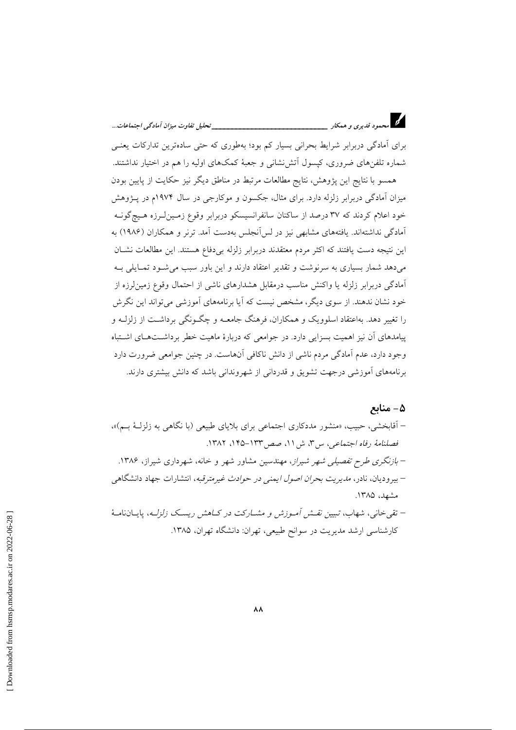برای آمادگی دربرابر شرایط بحرانی بسیار کم بود؛ بهطوری که حتی سادهترین تدارکات یعنبی شماره تلفنهای ضروری، کیسول آتش نشانی و جعبهٔ کمکهای اولیه را هم در اختیار نداشتند.

همسو با نتایج این پژوهش، نتایج مطالعات مرتبط در مناطق دیگر نیز حکایت از پایین بودن میزان آمادگی دربرابر زلزله دارد. برای مثال، جکسون و موکارجی در سال ۱۹۷۴م در پـژوهش خود اعلام کردند که ۳۷ درصد از ساکنان سانفرانسیسکو دربرابر وقوع زمـینLرزه هـیچگونـه آمادگی نداشتهاند. یافتههای مشابهی نیز در لس آنجلس بهدست آمد. ترنر و همکاران (۱۹۸۶) به این نتیجه دست یافتند که اکثر مردم معتقدند دربرابر زلزله بی دفاع هستند. این مطالعات نشـان میدهد شمار بسیاری به سرنوشت و تقدیر اعتقاد دارند و این باور سبب می شود تمـایلی بـه آمادگی دربرابر زلزله یا واکنش مناسب درمقابل هشدارهای ناشی از احتمال وقوع زمین لرزه از خود نشان ندهند. از سوی دیگر، مشخص نیست که آیا برنامههای آموزشی میتواند این نگرش را تغییر دهد. بهاعتقاد اسلوویک و همکاران، فرهنگ جامعــه و چگــونگـی برداشــت از زلزلــه و پیامدهای آن نیز اهمیت بسزایی دارد. در جوامعی که دربارهٔ ماهیت خطر برداشـتهـای اشـتباه وجود دارد، عدم آمادگی مردم ناشی از دانش ناکافی آنهاست. در چنین جوامعی ضرورت دارد برنامههای آموزشی درجهت تشویق و قدردانی از شهروندانی باشد که دانش بیشتری دارند.

#### ۵ – منابع

– آقابخشی، حبیب، «منشور مددکاری اجتماعی برای بلایای طبیعی (با نگاهی به زلزلـهٔ بـم)»، فصلنامهٔ رفاه اجتماعی، س۳، ش۱۱، صص۱۳۳-۱۴۵، ۱۳۸۲. – *بازنگری طرح تفصیلی شهر شیراز*، مهندسین مشاور شهر و خانه، شهرداری شیراز، ۱۳۸۶. – بيروديان، نادر، *مدي*ريت *بحران اصول ايمني در حوادث غير مترقبه*، انتشارات جهاد دانشگاهي مشهد، ۱۳۸۵. – تقی خانی، شهاب، تبیین نقش آموزش و مشــارکت در کــاهش ریسـک زلزلــه، پایــانiامــهٔ

کارشناسی ارشد مدیریت در سوانح طبیعی، تهران: دانشگاه تهران، ۱۳۸۵.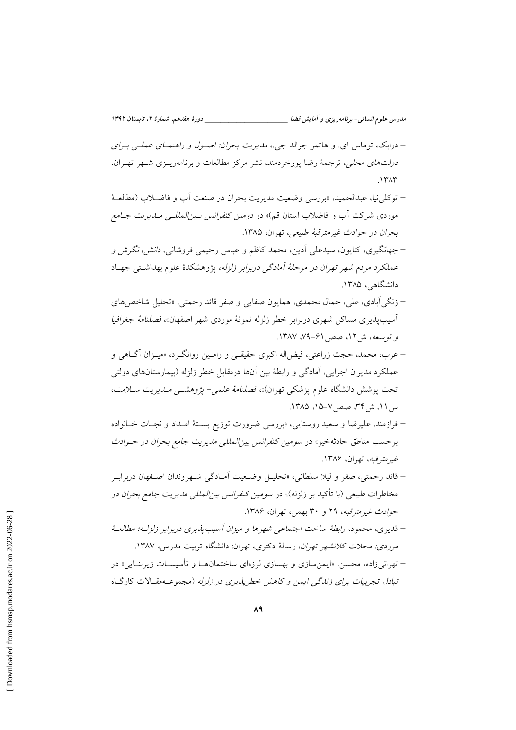- درابک، توماس ای. و هاتمر جرالد جی.، *مدیریت بحران: اصـول و راهنمــای عملــی بــرای* د*ولتهای محلی،* ترجمهٔ رضا پورخردمند، نشر مرکز مطالعات و برنامهریـزی شـهر تهـران،  $\Lambda$ ۳ $\Lambda$ ۳
- توكلي نيا، عبدالحميد، «بررسي وضعيت مديريت بحران در صنعت أب و فاضـلاب (مطالعــهٔ موردی شرکت آب و فاضلاب استان قم)» در *دومین کنفرانس بـین المللـی مـدیریت جـامع* بحران در حوادث غیرمترقبهٔ طبیعه ، تهران، ۱۳۸۵.
- جهانگیری، کتابون، سیدعلی آذین، محمد کاظم و عباس رحیمی فروشانی، *دانش، نگرش و* عملکرد مردم شهر تهران در مرحلهٔ آمادگی دربرابر زلزله، پژوهشکدهٔ علوم بهداشتی جهـاد دانشگاهی، ۱۳۸۵.
- زنگي آبادي، علي، جمال محمدي، همايون صفايي و صفر قائد رحمتي، «تحليل شاخص هاي آسیب پذیری مساکن شهری دربرابر خطر زلزله نمونهٔ موردی شهر اصفهان»، *فصلنامهٔ جغرافیا* و توسعه، ش ١٢، صص ۶۱-٧٩. ١٣٨٧.
- عرب، محمد، حجت زراعتي، فيضاله اكبري حقيقـي و رامـين روانگـرد، «ميـزان أگــاهي و عملکرد مدیران اجرایی، آمادگی و رابطهٔ بین آنها درمقابل خطر زلزله (بیمارستانهای دولتی تحت پوشش دانشگاه علوم پزشکی تهران)»، فصلنا*مهٔ علمی- پژوهشمی مـدیریت سـلامت*، س ١١، ش ٣٣، صص ٧-١٥، ١٣٨٥.
- فرازمند، علیرضا و سعید روستایی، «بررسی ضرورت توزیع بستهٔ امـداد و نجـات خـانواده برحسب مناطق حادثهخیز» در س*ومین کنفرانس بین المللی مدیریت جامع بحران در حـوادث* غيرمترقبه، تهران، ۱۳۸۶.
- قائد رحمتي، صفر و ليلا سلطاني، «تحليــل وضــعيت آمــادگي شــهروندان اصــفهان دربرابــر مخاطرات طبیعی (با تأکید بر زلزله)» در *سومین کنفرانس بین|لمللی مدیریت جامع بحران در* حوادث غير مترقبه، ٢٩ و ٣٠ بهمن، تهران، ١٣٨۶.
- قديري، محمود، رابطهٔ ساخت اجتماعي شهرها و ميزان آسيب پذيري دربرابر زلزلـه؛ مطالعـهٔ موردی: محلات کلانشهر تهران، رسالهٔ دکتری، تهران: دانشگاه تربیت مدرس، ۱۳۸۷. – تهراني زاده، محسن. «ايمن سازي و بهسازي لرزهاي ساختمانهــا و تأسيســات زيربنــايي» در

تبادل تجربیات برای زندگی ایمن و کاهش خطریذیری در زلزله (مجموعـهمقـالات کارگـاه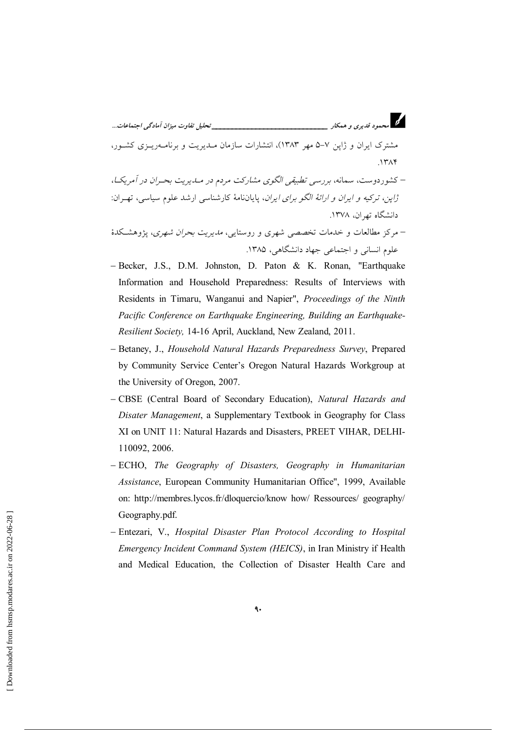مشترک ایران و ژاین ۷–۵ مهر ۱۳۸۳)، انتشارات سازمان مـدیریت و برنامــهریــزی کشــور،  $1574$ 

– کشوردوست، سمانه، بررسی تطبیقی الگوی مشارکت مردم در مــاـیریت بحــران در آمریکــا، .<br>ژ*این، ترکیه و ایران و ارائهٔ الگو برای ایران*، پایاننامهٔ کارشناسی ارشد علوم سیاسی، تهـران: دانشگاه تهران، ۱۳۷۸.

– مرکز مطالعات و خدمات تخصصه شهری و روستایی، *مدیریت بحران شهری*، پژوهشکدهٔ علوم انسانی و اجتماعی جهاد دانشگاهی، ۱۳۸۵.

- Becker, J.S., D.M. Johnston, D. Paton & K. Ronan, "Earthquake Information and Household Preparedness: Results of Interviews with Residents in Timaru, Wanganui and Napier", Proceedings of the Ninth Pacific Conference on Earthquake Engineering, Building an Earthquake-Resilient Society, 14-16 April, Auckland, New Zealand, 2011.
- Betaney, J., Household Natural Hazards Preparedness Survey, Prepared by Community Service Center's Oregon Natural Hazards Workgroup at the University of Oregon, 2007.
- CBSE (Central Board of Secondary Education), Natural Hazards and Disater Management, a Supplementary Textbook in Geography for Class XI on UNIT 11: Natural Hazards and Disasters, PREET VIHAR, DELHI-110092, 2006.
- ECHO, The Geography of Disasters, Geography in Humanitarian Assistance, European Community Humanitarian Office", 1999, Available on: http://membres.lycos.fr/dloquercio/know how/ Ressources/ geography/ Geography.pdf.
- Entezari, V., Hospital Disaster Plan Protocol According to Hospital Emergency Incident Command System (HEICS), in Iran Ministry if Health and Medical Education, the Collection of Disaster Health Care and